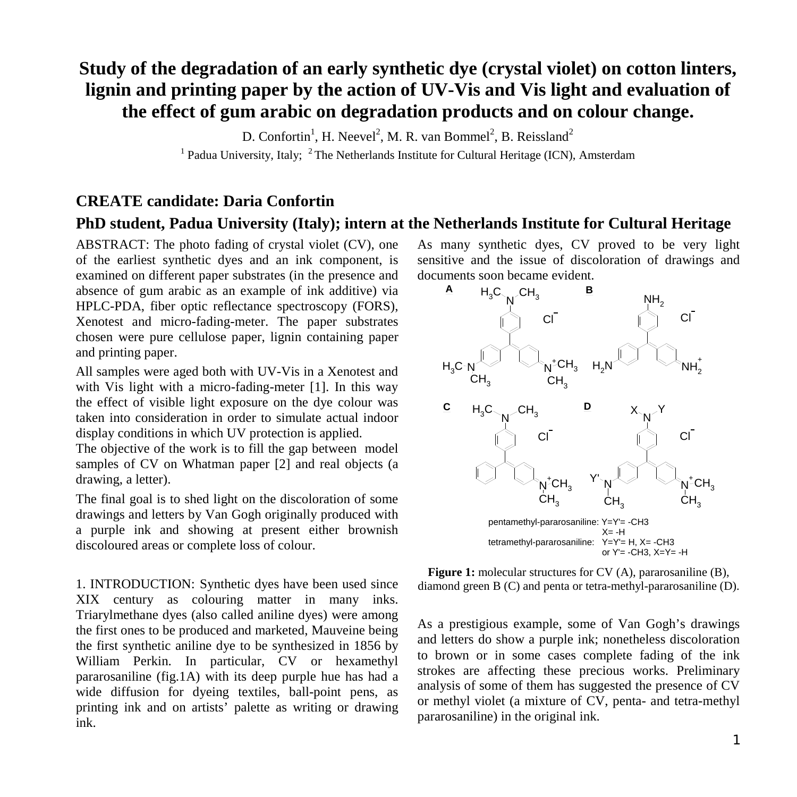## **Study of the degradation of an early synthetic dye (crystal violet) on cotton linters, lignin and printing paper by the action of UV-Vis and Vis light and evaluation of the effect of gum arabic on degradation products and on colour change.**

D. Confortin<sup>1</sup>, H. Neevel<sup>2</sup>, M. R. van Bommel<sup>2</sup>, B. Reissland<sup>2</sup>

<sup>1</sup> Padua University, Italy; <sup>2</sup> The Netherlands Institute for Cultural Heritage (ICN), Amsterdam

## **CREATE candidate: Daria Confortin**

## **PhD student, Padua University (Italy); intern at the Netherlands Institute for Cultural Heritage**

ABSTRACT: The photo fading of crystal violet (CV), one of the earliest synthetic dyes and an ink component, is examined on different paper substrates (in the presence and absence of gum arabic as an example of ink additive) via HPLC-PDA, fiber optic reflectance spectroscopy (FORS), Xenotest and micro-fading-meter. The paper substrates chosen were pure cellulose paper, lignin containing paper and printing paper.

All samples were aged both with UV-Vis in a Xenotest and with Vis light with a micro-fading-meter [1]. In this way the effect of visible light exposure on the dye colour was taken into consideration in order to simulate actual indoor display conditions in which UV protection is applied.

The objective of the work is to fill the gap between model samples of CV on Whatman paper [2] and real objects (a drawing, a letter).

The final goal is to shed light on the discoloration of some drawings and letters by Van Gogh originally produced with a purple ink and showing at present either brownish discoloured areas or complete loss of colour.

1. INTRODUCTION: Synthetic dyes have been used since XIX century as colouring matter in many inks. Triarylmethane dyes (also called aniline dyes) were among the first ones to be produced and marketed, Mauveine being the first synthetic aniline dye to be synthesized in 1856 by William Perkin. In particular, CV or hexamethyl pararosaniline (fig.1A) with its deep purple hue has had a wide diffusion for dyeing textiles, ball-point pens, as printing ink and on artists' palette as writing or drawing ink.

As many synthetic dyes, CV proved to be very light sensitive and the issue of discoloration of drawings and documents soon became evident.



**Figure 1:** molecular structures for CV (A), pararosaniline (B), diamond green B (C) and penta or tetra-methyl-pararosaniline (D).

As a prestigious example, some of Van Gogh's drawings and letters do show a purple ink; nonetheless discoloration to brown or in some cases complete fading of the ink strokes are affecting these precious works. Preliminary analysis of some of them has suggested the presence of CV or methyl violet (a mixture of CV, penta- and tetra-methyl pararosaniline) in the original ink.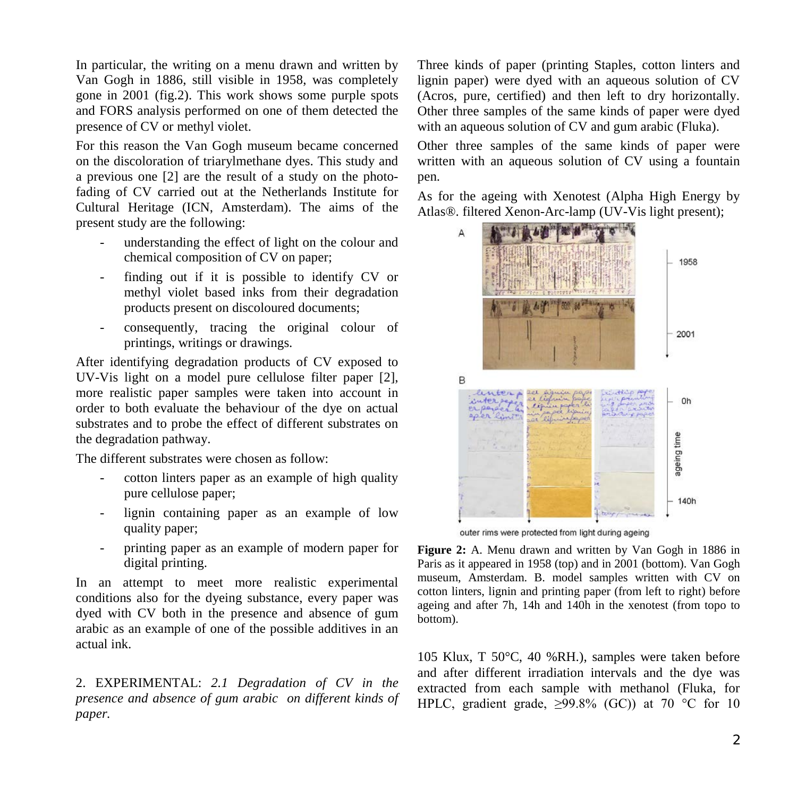In particular, the writing on a menu drawn and written by Van Gogh in 1886, still visible in 1958, was completely gone in 2001 (fig.2). This work shows some purple spots and FORS analysis performed on one of them detected the presence of CV or methyl violet.

For this reason the Van Gogh museum became concerned on the discoloration of triarylmethane dyes. This study and a previous one [2] are the result of a study on the photofading of CV carried out at the Netherlands Institute for Cultural Heritage (ICN, Amsterdam). The aims of the present study are the following:

- understanding the effect of light on the colour and chemical composition of CV on paper;
- finding out if it is possible to identify CV or methyl violet based inks from their degradation products present on discoloured documents;
- consequently, tracing the original colour of printings, writings or drawings.

After identifying degradation products of CV exposed to UV-Vis light on a model pure cellulose filter paper [2], more realistic paper samples were taken into account in order to both evaluate the behaviour of the dye on actual substrates and to probe the effect of different substrates on the degradation pathway.

The different substrates were chosen as follow:

- cotton linters paper as an example of high quality pure cellulose paper;
- lignin containing paper as an example of low quality paper;
- printing paper as an example of modern paper for digital printing.

In an attempt to meet more realistic experimental conditions also for the dyeing substance, every paper was dyed with CV both in the presence and absence of gum arabic as an example of one of the possible additives in an actual ink.

2. EXPERIMENTAL: *2.1 Degradation of CV in the presence and absence of gum arabic on different kinds of paper.*

Three kinds of paper (printing Staples, cotton linters and lignin paper) were dyed with an aqueous solution of CV (Acros, pure, certified) and then left to dry horizontally. Other three samples of the same kinds of paper were dyed with an aqueous solution of CV and gum arabic (Fluka).

Other three samples of the same kinds of paper were written with an aqueous solution of CV using a fountain pen.

As for the ageing with Xenotest (Alpha High Energy by Atlas®. filtered Xenon-Arc-lamp (UV-Vis light present);



outer rims were protected from light during ageing

**Figure 2:** A. Menu drawn and written by Van Gogh in 1886 in Paris as it appeared in 1958 (top) and in 2001 (bottom). Van Gogh museum, Amsterdam. B. model samples written with CV on cotton linters, lignin and printing paper (from left to right) before ageing and after 7h, 14h and 140h in the xenotest (from topo to bottom).

105 Klux, T 50°C, 40 %RH.), samples were taken before and after different irradiation intervals and the dye was extracted from each sample with methanol (Fluka, for HPLC, gradient grade,  $\geq$ 99.8% (GC)) at 70 °C for 10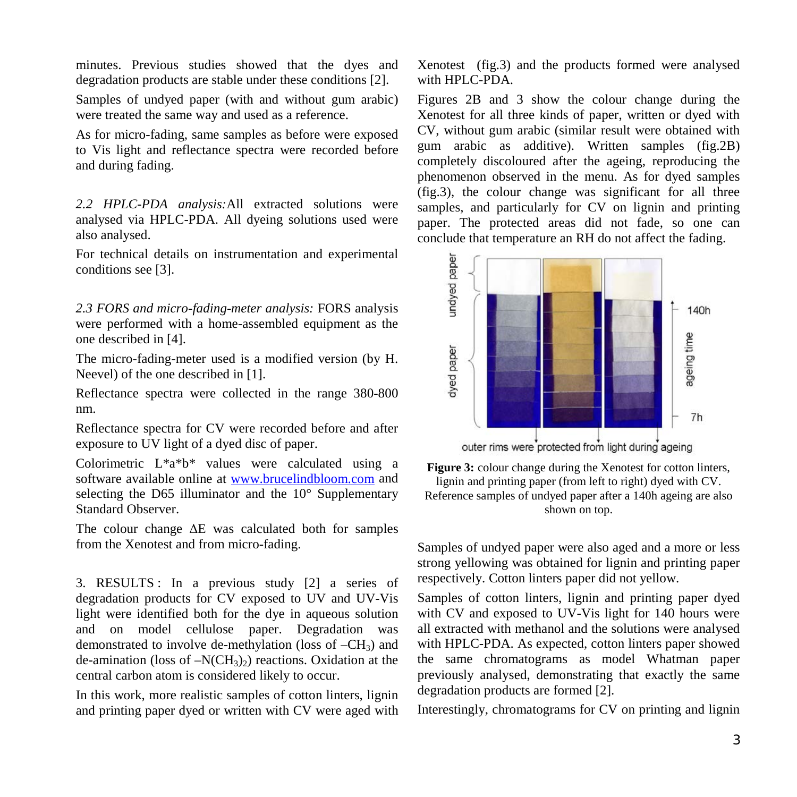minutes. Previous studies showed that the dyes and degradation products are stable under these conditions [2].

Samples of undyed paper (with and without gum arabic) were treated the same way and used as a reference.

As for micro-fading, same samples as before were exposed to Vis light and reflectance spectra were recorded before and during fading.

*2.2 HPLC-PDA analysis:*All extracted solutions were analysed via HPLC-PDA. All dyeing solutions used were also analysed.

For technical details on instrumentation and experimental conditions see [3].

*2.3 FORS and micro-fading-meter analysis:* FORS analysis were performed with a home-assembled equipment as the one described in [4].

The micro-fading-meter used is a modified version (by H. Neevel) of the one described in [1].

Reflectance spectra were collected in the range 380-800 nm.

Reflectance spectra for CV were recorded before and after exposure to UV light of a dyed disc of paper.

Colorimetric L\*a\*b\* values were calculated using a software available online at [www.brucelindbloom.com](http://www.brucelindbloom.com/) and selecting the D65 illuminator and the 10° Supplementary Standard Observer.

The colour change  $\Delta E$  was calculated both for samples from the Xenotest and from micro-fading.

3. RESULTS : In a previous study [2] a series of degradation products for CV exposed to UV and UV-Vis light were identified both for the dye in aqueous solution and on model cellulose paper. Degradation was demonstrated to involve de-methylation (loss of  $-CH_3$ ) and de-amination (loss of  $-N(CH_3)$ ) reactions. Oxidation at the central carbon atom is considered likely to occur.

In this work, more realistic samples of cotton linters, lignin and printing paper dyed or written with CV were aged with Xenotest (fig.3) and the products formed were analysed with HPLC-PDA.

Figures 2B and 3 show the colour change during the Xenotest for all three kinds of paper, written or dyed with CV, without gum arabic (similar result were obtained with gum arabic as additive). Written samples (fig.2B) completely discoloured after the ageing, reproducing the phenomenon observed in the menu. As for dyed samples (fig.3), the colour change was significant for all three samples, and particularly for CV on lignin and printing paper. The protected areas did not fade, so one can conclude that temperature an RH do not affect the fading.



outer rims were protected from light during ageing

**Figure 3:** colour change during the Xenotest for cotton linters, lignin and printing paper (from left to right) dyed with CV. Reference samples of undyed paper after a 140h ageing are also shown on top.

Samples of undyed paper were also aged and a more or less strong yellowing was obtained for lignin and printing paper respectively. Cotton linters paper did not yellow.

Samples of cotton linters, lignin and printing paper dyed with CV and exposed to UV-Vis light for 140 hours were all extracted with methanol and the solutions were analysed with HPLC-PDA. As expected, cotton linters paper showed the same chromatograms as model Whatman paper previously analysed, demonstrating that exactly the same degradation products are formed [2].

Interestingly, chromatograms for CV on printing and lignin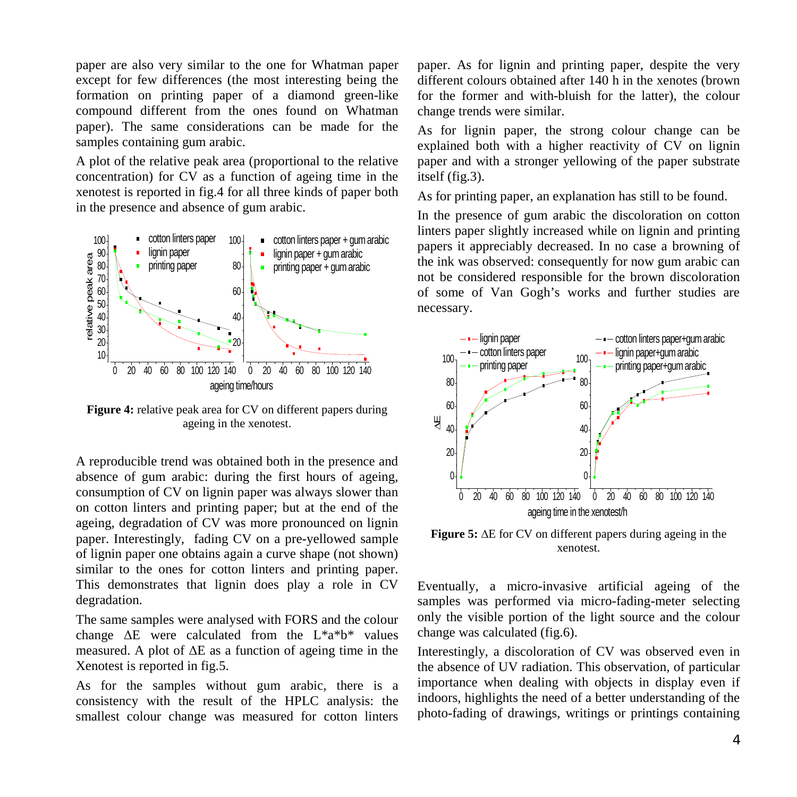paper are also very similar to the one for Whatman paper except for few differences (the most interesting being the formation on printing paper of a diamond green-like compound different from the ones found on Whatman paper). The same considerations can be made for the samples containing gum arabic.

A plot of the relative peak area (proportional to the relative concentration) for CV as a function of ageing time in the xenotest is reported in fig.4 for all three kinds of paper both in the presence and absence of gum arabic.



**Figure 4:** relative peak area for CV on different papers during ageing in the xenotest.

A reproducible trend was obtained both in the presence and absence of gum arabic: during the first hours of ageing, consumption of CV on lignin paper was always slower than on cotton linters and printing paper; but at the end of the ageing, degradation of CV was more pronounced on lignin paper. Interestingly, fading CV on a pre-yellowed sample of lignin paper one obtains again a curve shape (not shown) similar to the ones for cotton linters and printing paper. This demonstrates that lignin does play a role in CV degradation.

The same samples were analysed with FORS and the colour change  $\Delta E$  were calculated from the  $L^*a^*b^*$  values measured. A plot of  $\Delta E$  as a function of ageing time in the Xenotest is reported in fig.5.

As for the samples without gum arabic, there is a consistency with the result of the HPLC analysis: the smallest colour change was measured for cotton linters paper. As for lignin and printing paper, despite the very different colours obtained after 140 h in the xenotes (brown for the former and with-bluish for the latter), the colour change trends were similar.

As for lignin paper, the strong colour change can be explained both with a higher reactivity of CV on lignin paper and with a stronger yellowing of the paper substrate itself (fig.3).

As for printing paper, an explanation has still to be found.

In the presence of gum arabic the discoloration on cotton linters paper slightly increased while on lignin and printing papers it appreciably decreased. In no case a browning of the ink was observed: consequently for now gum arabic can not be considered responsible for the brown discoloration of some of Van Gogh's works and further studies are necessary.



**Figure 5:** ∆E for CV on different papers during ageing in the xenotest.

Eventually, a micro-invasive artificial ageing of the samples was performed via micro-fading-meter selecting only the visible portion of the light source and the colour change was calculated (fig.6).

Interestingly, a discoloration of CV was observed even in the absence of UV radiation. This observation, of particular importance when dealing with objects in display even if indoors, highlights the need of a better understanding of the photo-fading of drawings, writings or printings containing